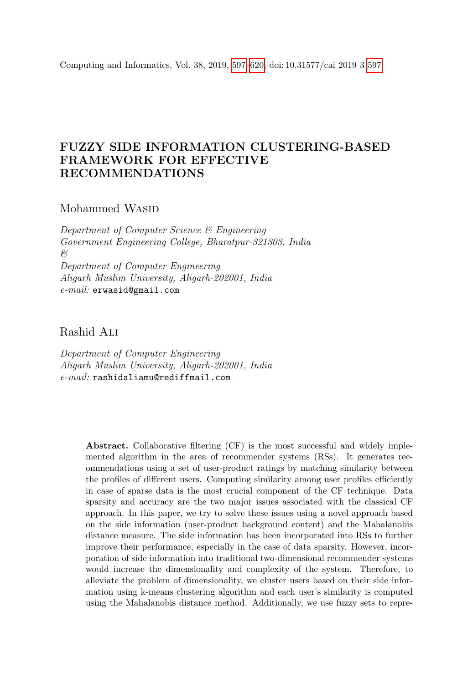<span id="page-0-0"></span>Computing and Informatics, Vol. 38, 2019, [597–](#page-0-0)[620,](#page-19-0) doi: 10.31577/cai 2019 3 [597](#page-0-0)

# FUZZY SIDE INFORMATION CLUSTERING-BASED FRAMEWORK FOR EFFECTIVE RECOMMENDATIONS

# Mohammed WASID

Department of Computer Science & Engineering Government Engineering College, Bharatpur-321303, India & Department of Computer Engineering Aligarh Muslim University, Aligarh-202001, India e-mail: erwasid@gmail.com

Rashid Ali

Department of Computer Engineering Aligarh Muslim University, Aligarh-202001, India e-mail: rashidaliamu@rediffmail.com

> Abstract. Collaborative filtering (CF) is the most successful and widely implemented algorithm in the area of recommender systems (RSs). It generates recommendations using a set of user-product ratings by matching similarity between the profiles of different users. Computing similarity among user profiles efficiently in case of sparse data is the most crucial component of the CF technique. Data sparsity and accuracy are the two major issues associated with the classical CF approach. In this paper, we try to solve these issues using a novel approach based on the side information (user-product background content) and the Mahalanobis distance measure. The side information has been incorporated into RSs to further improve their performance, especially in the case of data sparsity. However, incorporation of side information into traditional two-dimensional recommender systems would increase the dimensionality and complexity of the system. Therefore, to alleviate the problem of dimensionality, we cluster users based on their side information using k-means clustering algorithm and each user's similarity is computed using the Mahalanobis distance method. Additionally, we use fuzzy sets to repre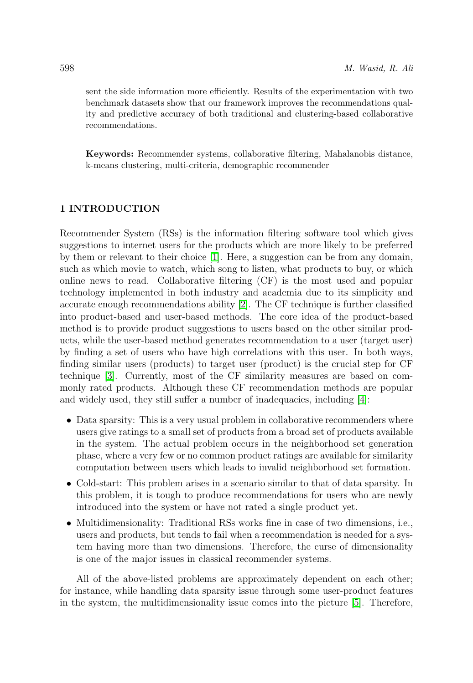sent the side information more efficiently. Results of the experimentation with two benchmark datasets show that our framework improves the recommendations quality and predictive accuracy of both traditional and clustering-based collaborative recommendations.

Keywords: Recommender systems, collaborative filtering, Mahalanobis distance, k-means clustering, multi-criteria, demographic recommender

# 1 INTRODUCTION

Recommender System (RSs) is the information filtering software tool which gives suggestions to internet users for the products which are more likely to be preferred by them or relevant to their choice [\[1\]](#page-19-1). Here, a suggestion can be from any domain, such as which movie to watch, which song to listen, what products to buy, or which online news to read. Collaborative filtering (CF) is the most used and popular technology implemented in both industry and academia due to its simplicity and accurate enough recommendations ability [\[2\]](#page-19-2). The CF technique is further classified into product-based and user-based methods. The core idea of the product-based method is to provide product suggestions to users based on the other similar products, while the user-based method generates recommendation to a user (target user) by finding a set of users who have high correlations with this user. In both ways, finding similar users (products) to target user (product) is the crucial step for CF technique [\[3\]](#page-19-3). Currently, most of the CF similarity measures are based on commonly rated products. Although these CF recommendation methods are popular and widely used, they still suffer a number of inadequacies, including [\[4\]](#page-20-0):

- Data sparsity: This is a very usual problem in collaborative recommenders where users give ratings to a small set of products from a broad set of products available in the system. The actual problem occurs in the neighborhood set generation phase, where a very few or no common product ratings are available for similarity computation between users which leads to invalid neighborhood set formation.
- Cold-start: This problem arises in a scenario similar to that of data sparsity. In this problem, it is tough to produce recommendations for users who are newly introduced into the system or have not rated a single product yet.
- Multidimensionality: Traditional RSs works fine in case of two dimensions, i.e., users and products, but tends to fail when a recommendation is needed for a system having more than two dimensions. Therefore, the curse of dimensionality is one of the major issues in classical recommender systems.

All of the above-listed problems are approximately dependent on each other; for instance, while handling data sparsity issue through some user-product features in the system, the multidimensionality issue comes into the picture [\[5\]](#page-20-1). Therefore,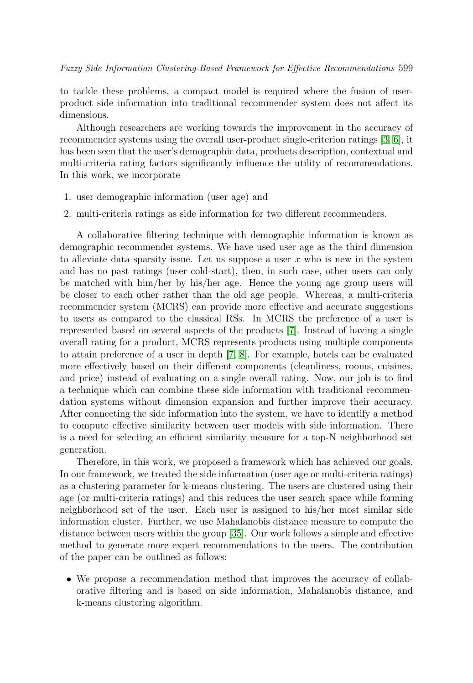to tackle these problems, a compact model is required where the fusion of userproduct side information into traditional recommender system does not affect its dimensions.

Although researchers are working towards the improvement in the accuracy of recommender systems using the overall user-product single-criterion ratings [\[3,](#page-19-3) [6\]](#page-20-2), it has been seen that the user's demographic data, products description, contextual and multi-criteria rating factors significantly influence the utility of recommendations. In this work, we incorporate

- 1. user demographic information (user age) and
- 2. multi-criteria ratings as side information for two different recommenders.

A collaborative filtering technique with demographic information is known as demographic recommender systems. We have used user age as the third dimension to alleviate data sparsity issue. Let us suppose a user  $x$  who is new in the system and has no past ratings (user cold-start), then, in such case, other users can only be matched with him/her by his/her age. Hence the young age group users will be closer to each other rather than the old age people. Whereas, a multi-criteria recommender system (MCRS) can provide more effective and accurate suggestions to users as compared to the classical RSs. In MCRS the preference of a user is represented based on several aspects of the products [\[7\]](#page-20-3). Instead of having a single overall rating for a product, MCRS represents products using multiple components to attain preference of a user in depth [\[7,](#page-20-3) [8\]](#page-20-4). For example, hotels can be evaluated more effectively based on their different components (cleanliness, rooms, cuisines, and price) instead of evaluating on a single overall rating. Now, our job is to find a technique which can combine these side information with traditional recommendation systems without dimension expansion and further improve their accuracy. After connecting the side information into the system, we have to identify a method to compute effective similarity between user models with side information. There is a need for selecting an efficient similarity measure for a top-N neighborhood set generation.

Therefore, in this work, we proposed a framework which has achieved our goals. In our framework, we treated the side information (user age or multi-criteria ratings) as a clustering parameter for k-means clustering. The users are clustered using their age (or multi-criteria ratings) and this reduces the user search space while forming neighborhood set of the user. Each user is assigned to his/her most similar side information cluster. Further, we use Mahalanobis distance measure to compute the distance between users within the group [\[35\]](#page-22-0). Our work follows a simple and effective method to generate more expert recommendations to the users. The contribution of the paper can be outlined as follows:

• We propose a recommendation method that improves the accuracy of collaborative filtering and is based on side information, Mahalanobis distance, and k-means clustering algorithm.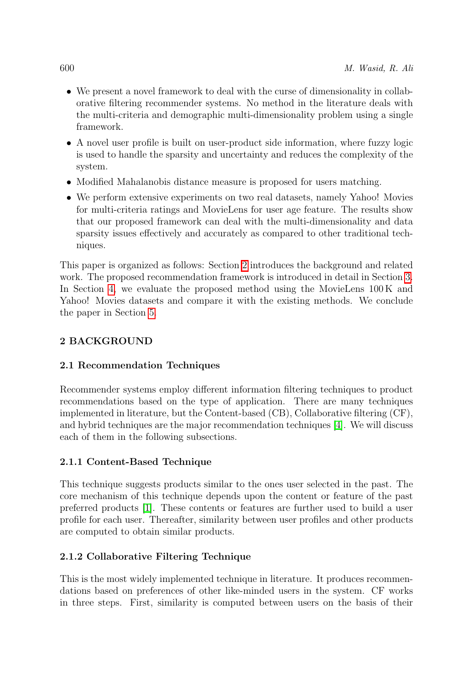- We present a novel framework to deal with the curse of dimensionality in collaborative filtering recommender systems. No method in the literature deals with the multi-criteria and demographic multi-dimensionality problem using a single framework.
- A novel user profile is built on user-product side information, where fuzzy logic is used to handle the sparsity and uncertainty and reduces the complexity of the system.
- Modified Mahalanobis distance measure is proposed for users matching.
- We perform extensive experiments on two real datasets, namely Yahoo! Movies for multi-criteria ratings and MovieLens for user age feature. The results show that our proposed framework can deal with the multi-dimensionality and data sparsity issues effectively and accurately as compared to other traditional techniques.

This paper is organized as follows: Section [2](#page-3-0) introduces the background and related work. The proposed recommendation framework is introduced in detail in Section [3.](#page-7-0) In Section [4,](#page-13-0) we evaluate the proposed method using the MovieLens 100 K and Yahoo! Movies datasets and compare it with the existing methods. We conclude the paper in Section [5.](#page-19-4)

# <span id="page-3-0"></span>2 BACKGROUND

# 2.1 Recommendation Techniques

Recommender systems employ different information filtering techniques to product recommendations based on the type of application. There are many techniques implemented in literature, but the Content-based (CB), Collaborative filtering (CF), and hybrid techniques are the major recommendation techniques [\[4\]](#page-20-0). We will discuss each of them in the following subsections.

# 2.1.1 Content-Based Technique

This technique suggests products similar to the ones user selected in the past. The core mechanism of this technique depends upon the content or feature of the past preferred products [\[1\]](#page-19-1). These contents or features are further used to build a user profile for each user. Thereafter, similarity between user profiles and other products are computed to obtain similar products.

# 2.1.2 Collaborative Filtering Technique

This is the most widely implemented technique in literature. It produces recommendations based on preferences of other like-minded users in the system. CF works in three steps. First, similarity is computed between users on the basis of their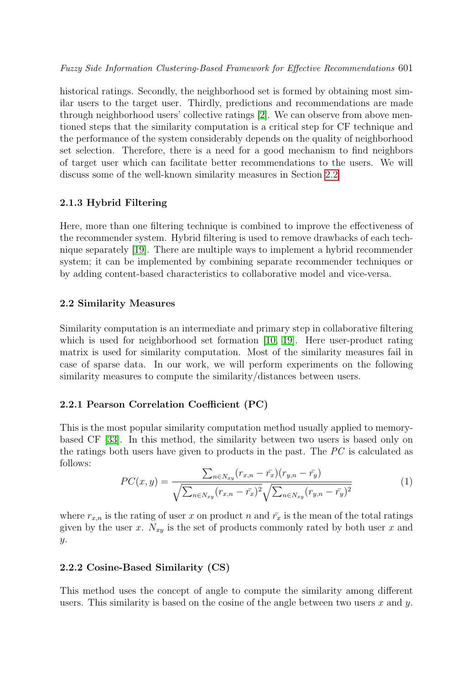historical ratings. Secondly, the neighborhood set is formed by obtaining most similar users to the target user. Thirdly, predictions and recommendations are made through neighborhood users' collective ratings [\[2\]](#page-19-2). We can observe from above mentioned steps that the similarity computation is a critical step for CF technique and the performance of the system considerably depends on the quality of neighborhood set selection. Therefore, there is a need for a good mechanism to find neighbors of target user which can facilitate better recommendations to the users. We will discuss some of the well-known similarity measures in Section [2.2.](#page-4-0)

# 2.1.3 Hybrid Filtering

Here, more than one filtering technique is combined to improve the effectiveness of the recommender system. Hybrid filtering is used to remove drawbacks of each technique separately [\[19\]](#page-21-0). There are multiple ways to implement a hybrid recommender system; it can be implemented by combining separate recommender techniques or by adding content-based characteristics to collaborative model and vice-versa.

# <span id="page-4-0"></span>2.2 Similarity Measures

Similarity computation is an intermediate and primary step in collaborative filtering which is used for neighborhood set formation [\[10,](#page-20-5) [19\]](#page-21-0). Here user-product rating matrix is used for similarity computation. Most of the similarity measures fail in case of sparse data. In our work, we will perform experiments on the following similarity measures to compute the similarity/distances between users.

## 2.2.1 Pearson Correlation Coefficient (PC)

This is the most popular similarity computation method usually applied to memorybased CF [\[33\]](#page-22-1). In this method, the similarity between two users is based only on the ratings both users have given to products in the past. The  $\overline{PC}$  is calculated as follows:

$$
PC(x,y) = \frac{\sum_{n \in N_{xy}} (r_{x,n} - \bar{r_x})(r_{y,n} - \bar{r_y})}{\sqrt{\sum_{n \in N_{xy}} (r_{x,n} - \bar{r_x})^2} \sqrt{\sum_{n \in N_{xy}} (r_{y,n} - \bar{r_y})^2}}
$$
(1)

where  $r_{x,n}$  is the rating of user x on product n and  $\bar{r}_x$  is the mean of the total ratings given by the user x.  $N_{xy}$  is the set of products commonly rated by both user x and y.

## 2.2.2 Cosine-Based Similarity (CS)

This method uses the concept of angle to compute the similarity among different users. This similarity is based on the cosine of the angle between two users x and  $y$ .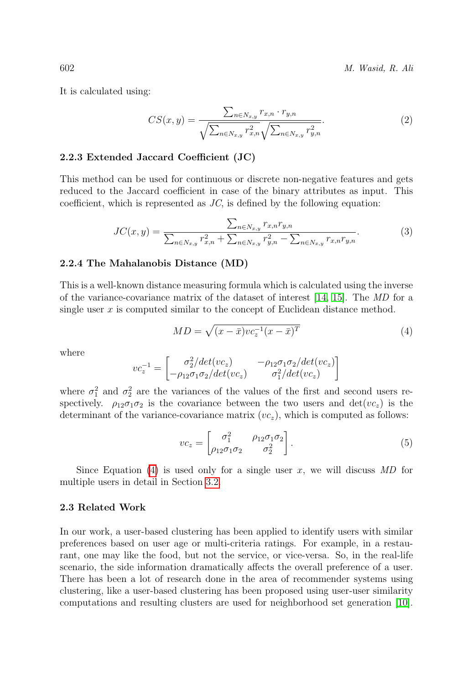602 M. Wasid, R. Ali

It is calculated using:

$$
CS(x,y) = \frac{\sum_{n \in N_{x,y}} r_{x,n} \cdot r_{y,n}}{\sqrt{\sum_{n \in N_{x,y}} r_{x,n}^2} \sqrt{\sum_{n \in N_{x,y}} r_{y,n}^2}}.
$$
\n(2)

#### 2.2.3 Extended Jaccard Coefficient (JC)

This method can be used for continuous or discrete non-negative features and gets reduced to the Jaccard coefficient in case of the binary attributes as input. This coefficient, which is represented as  $JC$ , is defined by the following equation:

$$
JC(x,y) = \frac{\sum_{n \in N_{x,y}} r_{x,n} r_{y,n}}{\sum_{n \in N_{x,y}} r_{x,n}^2 + \sum_{n \in N_{x,y}} r_{y,n}^2 - \sum_{n \in N_{x,y}} r_{x,n} r_{y,n}}.
$$
(3)

#### 2.2.4 The Mahalanobis Distance (MD)

This is a well-known distance measuring formula which is calculated using the inverse of the variance-covariance matrix of the dataset of interest [\[14,](#page-20-6) [15\]](#page-20-7). The MD for a single user  $x$  is computed similar to the concept of Euclidean distance method.

<span id="page-5-0"></span>
$$
MD = \sqrt{(x - \bar{x})vc_z^{-1}(x - \bar{x})^T}
$$
\n(4)

where

$$
vc_z^{-1} = \begin{bmatrix} \sigma_2^2/det(vc_z) & -\rho_{12}\sigma_1\sigma_2/det(vc_z) \\ -\rho_{12}\sigma_1\sigma_2/det(vc_z) & \sigma_1^2/det(vc_z) \end{bmatrix}
$$

where  $\sigma_1^2$  and  $\sigma_2^2$  are the variances of the values of the first and second users respectively.  $\rho_{12}\sigma_1\sigma_2$  is the covariance between the two users and  $det(vc_z)$  is the determinant of the variance-covariance matrix  $(vc<sub>z</sub>)$ , which is computed as follows:

$$
vc_z = \begin{bmatrix} \sigma_1^2 & \rho_{12}\sigma_1\sigma_2 \\ \rho_{12}\sigma_1\sigma_2 & \sigma_2^2 \end{bmatrix} .
$$
 (5)

Since Equation [\(4\)](#page-5-0) is used only for a single user x, we will discuss  $MD$  for multiple users in detail in Section [3.2.](#page-11-0)

# 2.3 Related Work

In our work, a user-based clustering has been applied to identify users with similar preferences based on user age or multi-criteria ratings. For example, in a restaurant, one may like the food, but not the service, or vice-versa. So, in the real-life scenario, the side information dramatically affects the overall preference of a user. There has been a lot of research done in the area of recommender systems using clustering, like a user-based clustering has been proposed using user-user similarity computations and resulting clusters are used for neighborhood set generation [\[10\]](#page-20-5).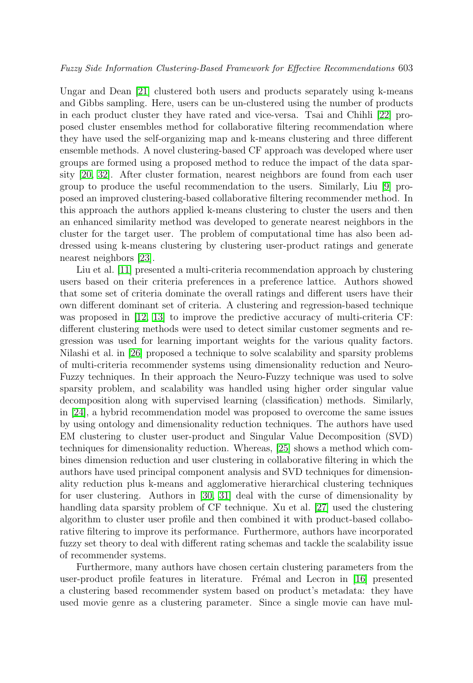Ungar and Dean [\[21\]](#page-21-1) clustered both users and products separately using k-means and Gibbs sampling. Here, users can be un-clustered using the number of products in each product cluster they have rated and vice-versa. Tsai and Chihli [\[22\]](#page-21-2) proposed cluster ensembles method for collaborative filtering recommendation where they have used the self-organizing map and k-means clustering and three different ensemble methods. A novel clustering-based CF approach was developed where user groups are formed using a proposed method to reduce the impact of the data sparsity [\[20,](#page-21-3) [32\]](#page-22-2). After cluster formation, nearest neighbors are found from each user group to produce the useful recommendation to the users. Similarly, Liu [\[9\]](#page-20-8) proposed an improved clustering-based collaborative filtering recommender method. In this approach the authors applied k-means clustering to cluster the users and then an enhanced similarity method was developed to generate nearest neighbors in the cluster for the target user. The problem of computational time has also been addressed using k-means clustering by clustering user-product ratings and generate nearest neighbors [\[23\]](#page-21-4).

Liu et al. [\[11\]](#page-20-9) presented a multi-criteria recommendation approach by clustering users based on their criteria preferences in a preference lattice. Authors showed that some set of criteria dominate the overall ratings and different users have their own different dominant set of criteria. A clustering and regression-based technique was proposed in [\[12,](#page-20-10) [13\]](#page-20-11) to improve the predictive accuracy of multi-criteria CF: different clustering methods were used to detect similar customer segments and regression was used for learning important weights for the various quality factors. Nilashi et al. in [\[26\]](#page-21-5) proposed a technique to solve scalability and sparsity problems of multi-criteria recommender systems using dimensionality reduction and Neuro-Fuzzy techniques. In their approach the Neuro-Fuzzy technique was used to solve sparsity problem, and scalability was handled using higher order singular value decomposition along with supervised learning (classification) methods. Similarly, in [\[24\]](#page-21-6), a hybrid recommendation model was proposed to overcome the same issues by using ontology and dimensionality reduction techniques. The authors have used EM clustering to cluster user-product and Singular Value Decomposition (SVD) techniques for dimensionality reduction. Whereas, [\[25\]](#page-21-7) shows a method which combines dimension reduction and user clustering in collaborative filtering in which the authors have used principal component analysis and SVD techniques for dimensionality reduction plus k-means and agglomerative hierarchical clustering techniques for user clustering. Authors in [\[30,](#page-22-3) [31\]](#page-22-4) deal with the curse of dimensionality by handling data sparsity problem of CF technique. Xu et al. [\[27\]](#page-21-8) used the clustering algorithm to cluster user profile and then combined it with product-based collaborative filtering to improve its performance. Furthermore, authors have incorporated fuzzy set theory to deal with different rating schemas and tackle the scalability issue of recommender systems.

Furthermore, many authors have chosen certain clustering parameters from the user-product profile features in literature. Frémal and Lecron in [\[16\]](#page-21-9) presented a clustering based recommender system based on product's metadata: they have used movie genre as a clustering parameter. Since a single movie can have mul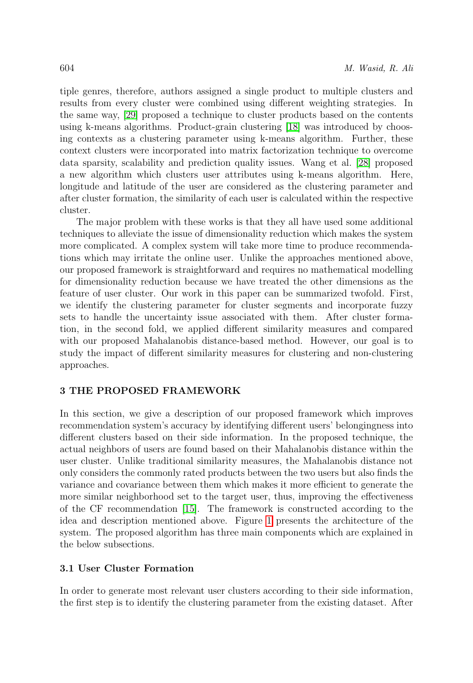tiple genres, therefore, authors assigned a single product to multiple clusters and results from every cluster were combined using different weighting strategies. In the same way, [\[29\]](#page-22-5) proposed a technique to cluster products based on the contents using k-means algorithms. Product-grain clustering [\[18\]](#page-21-10) was introduced by choosing contexts as a clustering parameter using k-means algorithm. Further, these context clusters were incorporated into matrix factorization technique to overcome data sparsity, scalability and prediction quality issues. Wang et al. [\[28\]](#page-21-11) proposed a new algorithm which clusters user attributes using k-means algorithm. Here, longitude and latitude of the user are considered as the clustering parameter and after cluster formation, the similarity of each user is calculated within the respective cluster.

The major problem with these works is that they all have used some additional techniques to alleviate the issue of dimensionality reduction which makes the system more complicated. A complex system will take more time to produce recommendations which may irritate the online user. Unlike the approaches mentioned above, our proposed framework is straightforward and requires no mathematical modelling for dimensionality reduction because we have treated the other dimensions as the feature of user cluster. Our work in this paper can be summarized twofold. First, we identify the clustering parameter for cluster segments and incorporate fuzzy sets to handle the uncertainty issue associated with them. After cluster formation, in the second fold, we applied different similarity measures and compared with our proposed Mahalanobis distance-based method. However, our goal is to study the impact of different similarity measures for clustering and non-clustering approaches.

# <span id="page-7-0"></span>3 THE PROPOSED FRAMEWORK

In this section, we give a description of our proposed framework which improves recommendation system's accuracy by identifying different users' belongingness into different clusters based on their side information. In the proposed technique, the actual neighbors of users are found based on their Mahalanobis distance within the user cluster. Unlike traditional similarity measures, the Mahalanobis distance not only considers the commonly rated products between the two users but also finds the variance and covariance between them which makes it more efficient to generate the more similar neighborhood set to the target user, thus, improving the effectiveness of the CF recommendation [\[15\]](#page-20-7). The framework is constructed according to the idea and description mentioned above. Figure [1](#page-8-0) presents the architecture of the system. The proposed algorithm has three main components which are explained in the below subsections.

# 3.1 User Cluster Formation

In order to generate most relevant user clusters according to their side information, the first step is to identify the clustering parameter from the existing dataset. After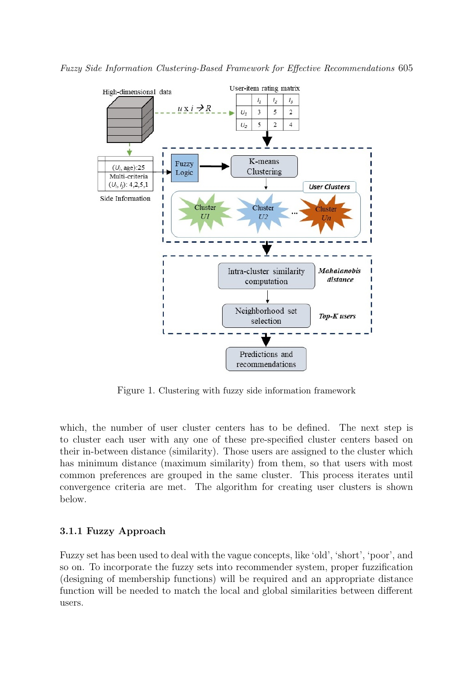



<span id="page-8-0"></span>Figure 1. Clustering with fuzzy side information framework

which, the number of user cluster centers has to be defined. The next step is to cluster each user with any one of these pre-specified cluster centers based on their in-between distance (similarity). Those users are assigned to the cluster which has minimum distance (maximum similarity) from them, so that users with most common preferences are grouped in the same cluster. This process iterates until convergence criteria are met. The algorithm for creating user clusters is shown below.

# 3.1.1 Fuzzy Approach

Fuzzy set has been used to deal with the vague concepts, like 'old', 'short', 'poor', and so on. To incorporate the fuzzy sets into recommender system, proper fuzzification (designing of membership functions) will be required and an appropriate distance function will be needed to match the local and global similarities between different users.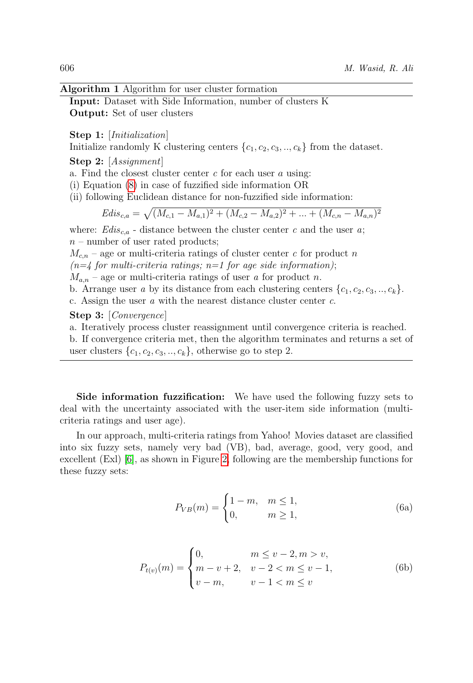#### Algorithm 1 Algorithm for user cluster formation

Input: Dataset with Side Information, number of clusters K Output: Set of user clusters

Step 1: [*Initialization*]

Initialize randomly K clustering centers  $\{c_1, c_2, c_3, \ldots, c_k\}$  from the dataset.

Step 2: [*Assignment*]

a. Find the closest cluster center  $c$  for each user  $a$  using:

(i) Equation [\(8\)](#page-10-0) in case of fuzzified side information OR

(ii) following Euclidean distance for non-fuzzified side information:

$$
Edis_{c,a} = \sqrt{(M_{c,1} - M_{a,1})^2 + (M_{c,2} - M_{a,2})^2 + \dots + (M_{c,n} - M_{a,n})^2}
$$

where:  $Edis_{c,a}$  - distance between the cluster center c and the user a;  $n$  – number of user rated products;

 $M_{c,n}$  – age or multi-criteria ratings of cluster center c for product n

 $(n=4$  for multi-criteria ratings; n=1 for age side information);

 $M_{a,n}$  – age or multi-criteria ratings of user a for product n.

b. Arrange user a by its distance from each clustering centers  $\{c_1, c_2, c_3, \ldots, c_k\}$ . c. Assign the user  $a$  with the nearest distance cluster center  $c$ .

Step 3: [Convergence]

a. Iteratively process cluster reassignment until convergence criteria is reached.

b. If convergence criteria met, then the algorithm terminates and returns a set of user clusters  $\{c_1, c_2, c_3, \ldots, c_k\}$ , otherwise go to step 2.

Side information fuzzification: We have used the following fuzzy sets to deal with the uncertainty associated with the user-item side information (multicriteria ratings and user age).

In our approach, multi-criteria ratings from Yahoo! Movies dataset are classified into six fuzzy sets, namely very bad (VB), bad, average, good, very good, and excellent (Exl) [\[6\]](#page-20-2), as shown in Figure [2,](#page-10-1) following are the membership functions for these fuzzy sets:

$$
P_{VB}(m) = \begin{cases} 1 - m, & m \le 1, \\ 0, & m \ge 1, \end{cases}
$$
 (6a)

$$
P_{t(v)}(m) = \begin{cases} 0, & m \le v - 2, m > v, \\ m - v + 2, & v - 2 < m \le v - 1, \\ v - m, & v - 1 < m \le v \end{cases}
$$
(6b)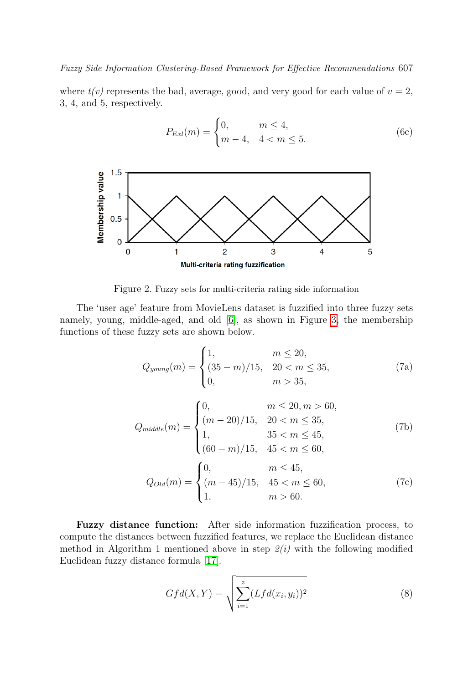Fuzzy Side Information Clustering-Based Framework for Effective Recommendations 607

where  $t(v)$  represents the bad, average, good, and very good for each value of  $v = 2$ , 3, 4, and 5, respectively.

$$
P_{Exl}(m) = \begin{cases} 0, & m \le 4, \\ m-4, & 4 < m \le 5. \end{cases}
$$
 (6c)



Figure 2. Fuzzy sets for multi-criteria rating side information

The 'user age' feature from MovieLens dataset is fuzzified into three fuzzy sets namely, young, middle-aged, and old [\[6\]](#page-20-2), as shown in Figure [3,](#page-11-1) the membership functions of these fuzzy sets are shown below.

<span id="page-10-1"></span>
$$
Q_{young}(m) = \begin{cases} 1, & m \le 20, \\ (35 - m)/15, & 20 < m \le 35, \\ 0, & m > 35, \end{cases}
$$
(7a)

$$
Q_{middle}(m) = \begin{cases} 0, & m \le 20, m > 60, \\ (m - 20)/15, & 20 < m \le 35, \\ 1, & 35 < m \le 45, \\ (60 - m)/15, & 45 < m \le 60, \end{cases}
$$
(7b)  

$$
Q_{Old}(m) = \begin{cases} 0, & m \le 45, \\ (m - 45)/15, & 45 < m \le 60, \\ 1, & m > 60. \end{cases}
$$
(7c)

Fuzzy distance function: After side information fuzzification process, to compute the distances between fuzzified features, we replace the Euclidean distance method in Algorithm 1 mentioned above in step  $2(i)$  with the following modified Euclidean fuzzy distance formula [\[17\]](#page-21-12).

<span id="page-10-0"></span>
$$
Gfd(X,Y) = \sqrt{\sum_{i=1}^{z} (Lfd(x_i, y_i))^2}
$$
 (8)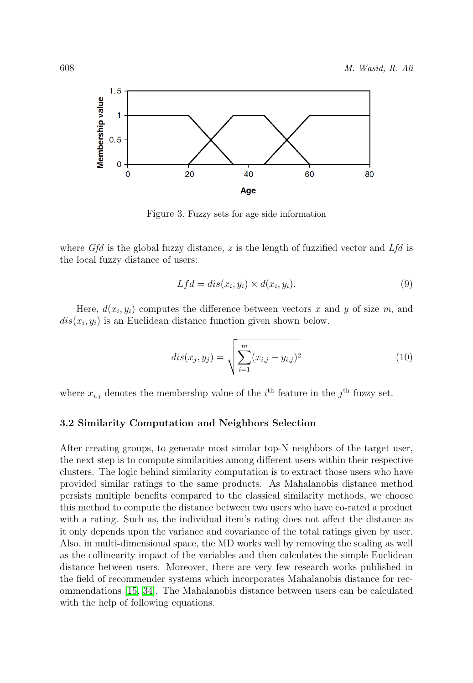

Figure 3. Fuzzy sets for age side information

where  $Gfd$  is the global fuzzy distance, z is the length of fuzzified vector and  $Lfd$  is the local fuzzy distance of users:

<span id="page-11-1"></span>
$$
Lfd = dis(x_i, y_i) \times d(x_i, y_i). \tag{9}
$$

Here,  $d(x_i, y_i)$  computes the difference between vectors x and y of size m, and  $dis(x_i, y_i)$  is an Euclidean distance function given shown below.

$$
dis(x_j, y_j) = \sqrt{\sum_{i=1}^{m} (x_{i,j} - y_{i,j})^2}
$$
 (10)

where  $x_{i,j}$  denotes the membership value of the  $i<sup>th</sup>$  feature in the  $j<sup>th</sup>$  fuzzy set.

#### <span id="page-11-0"></span>3.2 Similarity Computation and Neighbors Selection

After creating groups, to generate most similar top-N neighbors of the target user, the next step is to compute similarities among different users within their respective clusters. The logic behind similarity computation is to extract those users who have provided similar ratings to the same products. As Mahalanobis distance method persists multiple benefits compared to the classical similarity methods, we choose this method to compute the distance between two users who have co-rated a product with a rating. Such as, the individual item's rating does not affect the distance as it only depends upon the variance and covariance of the total ratings given by user. Also, in multi-dimensional space, the MD works well by removing the scaling as well as the collinearity impact of the variables and then calculates the simple Euclidean distance between users. Moreover, there are very few research works published in the field of recommender systems which incorporates Mahalanobis distance for recommendations [\[15,](#page-20-7) [34\]](#page-22-6). The Mahalanobis distance between users can be calculated with the help of following equations.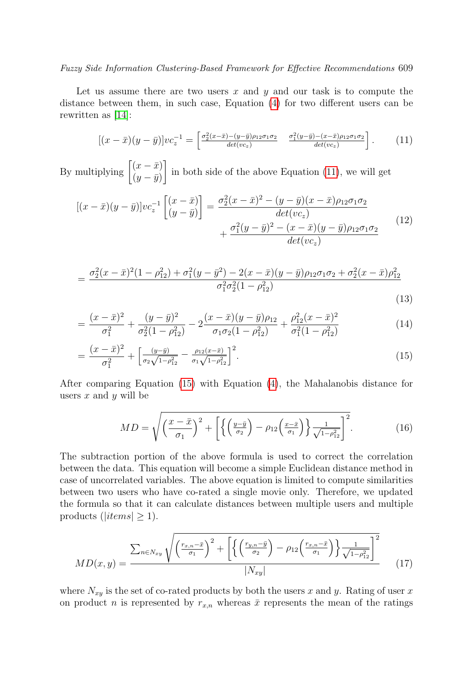## Fuzzy Side Information Clustering-Based Framework for Effective Recommendations 609

Let us assume there are two users  $x$  and  $y$  and our task is to compute the distance between them, in such case, Equation [\(4\)](#page-5-0) for two different users can be rewritten as [\[14\]](#page-20-6):

<span id="page-12-0"></span>
$$
[(x-\bar{x})(y-\bar{y})]vc_z^{-1} = \begin{bmatrix} \frac{\sigma_2^2(x-\bar{x})-(y-\bar{y})\rho_{12}\sigma_1\sigma_2}{\det(vc_z)} & \frac{\sigma_1^2(y-\bar{y})-(x-\bar{x})\rho_{12}\sigma_1\sigma_2}{\det(vc_z)} \end{bmatrix}.
$$
 (11)

By multiplying  $\begin{bmatrix} (x-\bar{x}) \\ (y-\bar{x}) \end{bmatrix}$  $(y - \bar{y})$ in both side of the above Equation [\(11\)](#page-12-0), we will get

$$
[(x - \bar{x})(y - \bar{y})]vc_z^{-1}\left[\frac{(x - \bar{x})}{(y - \bar{y})}\right] = \frac{\sigma_2^2(x - \bar{x})^2 - (y - \bar{y})(x - \bar{x})\rho_{12}\sigma_1\sigma_2}{det(vc_z)} + \frac{\sigma_1^2(y - \bar{y})^2 - (x - \bar{x})(y - \bar{y})\rho_{12}\sigma_1\sigma_2}{det(vc_z)}
$$
(12)

<span id="page-12-1"></span>
$$
= \frac{\sigma_2^2(x-\bar{x})^2(1-\rho_{12}^2) + \sigma_1^2(y-\bar{y}^2) - 2(x-\bar{x})(y-\bar{y})\rho_{12}\sigma_1\sigma_2 + \sigma_2^2(x-\bar{x})\rho_{12}^2}{\sigma_1^2\sigma_2^2(1-\rho_{12}^2)}
$$
\n(13)

(13)

$$
= \frac{(x-\bar{x})^2}{\sigma_1^2} + \frac{(y-\bar{y})^2}{\sigma_2^2(1-\rho_{12}^2)} - 2\frac{(x-\bar{x})(y-\bar{y})\rho_{12}}{\sigma_1\sigma_2(1-\rho_{12}^2)} + \frac{\rho_{12}^2(x-\bar{x})^2}{\sigma_1^2(1-\rho_{12}^2)}
$$
(14)

$$
= \frac{(x-\bar{x})^2}{\sigma_1^2} + \left[\frac{(y-\bar{y})}{\sigma_2\sqrt{1-\rho_{12}^2}} - \frac{\rho_{12}(x-\bar{x})}{\sigma_1\sqrt{1-\rho_{12}^2}}\right]^2.
$$
(15)

After comparing Equation [\(15\)](#page-12-1) with Equation [\(4\)](#page-5-0), the Mahalanobis distance for users  $x$  and  $y$  will be

$$
MD = \sqrt{\left(\frac{x-\bar{x}}{\sigma_1}\right)^2 + \left[\left\{\left(\frac{y-\bar{y}}{\sigma_2}\right) - \rho_{12}\left(\frac{x-\bar{x}}{\sigma_1}\right)\right\}\frac{1}{\sqrt{1-\rho_{12}^2}}\right]^2}.
$$
 (16)

The subtraction portion of the above formula is used to correct the correlation between the data. This equation will become a simple Euclidean distance method in case of uncorrelated variables. The above equation is limited to compute similarities between two users who have co-rated a single movie only. Therefore, we updated the formula so that it can calculate distances between multiple users and multiple products ( $|items| \geq 1$ ).

$$
MD(x,y) = \frac{\sum_{n \in N_{xy}} \sqrt{\left(\frac{r_{x,n} - \bar{x}}{\sigma_1}\right)^2 + \left[\left\{\left(\frac{r_{y,n} - \bar{y}}{\sigma_2}\right) - \rho_{12}\left(\frac{r_{x,n} - \bar{x}}{\sigma_1}\right)\right\}\frac{1}{\sqrt{1 - \rho_{12}^2}}\right]^2}}{|N_{xy}|}
$$
(17)

where  $N_{xy}$  is the set of co-rated products by both the users x and y. Rating of user x on product n is represented by  $r_{x,n}$  whereas  $\bar{x}$  represents the mean of the ratings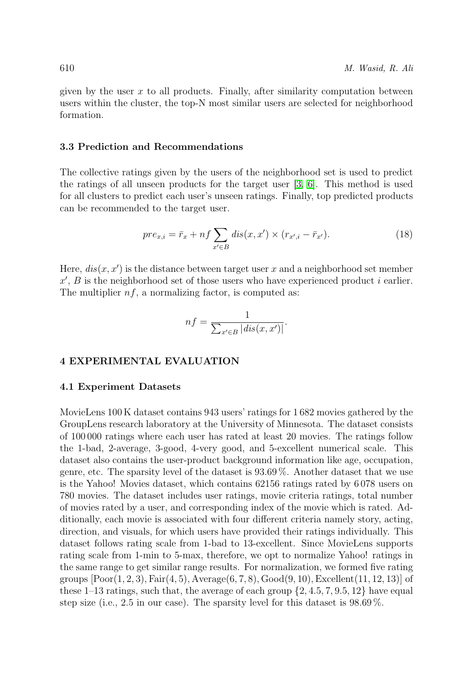given by the user  $x$  to all products. Finally, after similarity computation between users within the cluster, the top-N most similar users are selected for neighborhood formation.

# 3.3 Prediction and Recommendations

The collective ratings given by the users of the neighborhood set is used to predict the ratings of all unseen products for the target user [\[3,](#page-19-3) [6\]](#page-20-2). This method is used for all clusters to predict each user's unseen ratings. Finally, top predicted products can be recommended to the target user.

$$
pre_{x,i} = \bar{r}_x + nf \sum_{x' \in B} dis(x, x') \times (r_{x',i} - \bar{r}_{x'}).
$$
 (18)

Here,  $dis(x, x')$  is the distance between target user x and a neighborhood set member  $x'$ , B is the neighborhood set of those users who have experienced product i earlier. The multiplier  $nf$ , a normalizing factor, is computed as:

$$
nf = \frac{1}{\sum_{x' \in B} |dis(x, x')|}.
$$

## <span id="page-13-0"></span>4 EXPERIMENTAL EVALUATION

## 4.1 Experiment Datasets

MovieLens 100 K dataset contains 943 users' ratings for 1 682 movies gathered by the GroupLens research laboratory at the University of Minnesota. The dataset consists of 100 000 ratings where each user has rated at least 20 movies. The ratings follow the 1-bad, 2-average, 3-good, 4-very good, and 5-excellent numerical scale. This dataset also contains the user-product background information like age, occupation, genre, etc. The sparsity level of the dataset is 93.69 %. Another dataset that we use is the Yahoo! Movies dataset, which contains 62156 ratings rated by 6 078 users on 780 movies. The dataset includes user ratings, movie criteria ratings, total number of movies rated by a user, and corresponding index of the movie which is rated. Additionally, each movie is associated with four different criteria namely story, acting, direction, and visuals, for which users have provided their ratings individually. This dataset follows rating scale from 1-bad to 13-excellent. Since MovieLens supports rating scale from 1-min to 5-max, therefore, we opt to normalize Yahoo! ratings in the same range to get similar range results. For normalization, we formed five rating groups  $[Poor(1, 2, 3), Fair(4, 5), Average(6, 7, 8), Good(9, 10), Excellent(11, 12, 13)]$  of these 1–13 ratings, such that, the average of each group  $\{2, 4.5, 7, 9.5, 12\}$  have equal step size (i.e., 2.5 in our case). The sparsity level for this dataset is 98.69 %.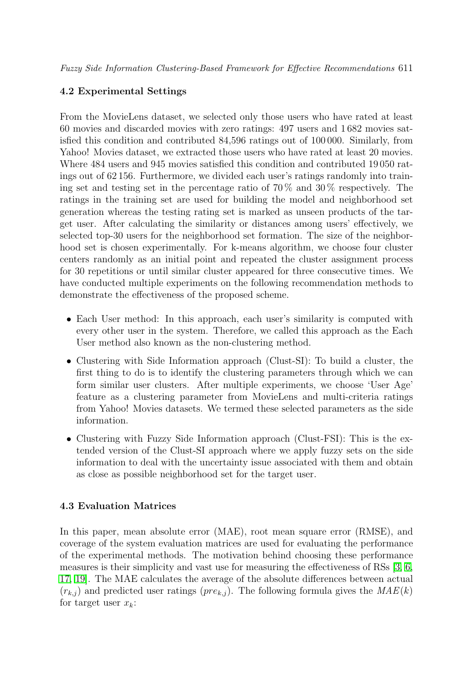Fuzzy Side Information Clustering-Based Framework for Effective Recommendations 611

# 4.2 Experimental Settings

From the MovieLens dataset, we selected only those users who have rated at least 60 movies and discarded movies with zero ratings: 497 users and 1 682 movies satisfied this condition and contributed 84,596 ratings out of 100 000. Similarly, from Yahoo! Movies dataset, we extracted those users who have rated at least 20 movies. Where 484 users and 945 movies satisfied this condition and contributed 19 050 ratings out of 62 156. Furthermore, we divided each user's ratings randomly into training set and testing set in the percentage ratio of  $70\%$  and  $30\%$  respectively. The ratings in the training set are used for building the model and neighborhood set generation whereas the testing rating set is marked as unseen products of the target user. After calculating the similarity or distances among users' effectively, we selected top-30 users for the neighborhood set formation. The size of the neighborhood set is chosen experimentally. For k-means algorithm, we choose four cluster centers randomly as an initial point and repeated the cluster assignment process for 30 repetitions or until similar cluster appeared for three consecutive times. We have conducted multiple experiments on the following recommendation methods to demonstrate the effectiveness of the proposed scheme.

- Each User method: In this approach, each user's similarity is computed with every other user in the system. Therefore, we called this approach as the Each User method also known as the non-clustering method.
- Clustering with Side Information approach (Clust-SI): To build a cluster, the first thing to do is to identify the clustering parameters through which we can form similar user clusters. After multiple experiments, we choose 'User Age' feature as a clustering parameter from MovieLens and multi-criteria ratings from Yahoo! Movies datasets. We termed these selected parameters as the side information.
- Clustering with Fuzzy Side Information approach (Clust-FSI): This is the extended version of the Clust-SI approach where we apply fuzzy sets on the side information to deal with the uncertainty issue associated with them and obtain as close as possible neighborhood set for the target user.

# 4.3 Evaluation Matrices

In this paper, mean absolute error (MAE), root mean square error (RMSE), and coverage of the system evaluation matrices are used for evaluating the performance of the experimental methods. The motivation behind choosing these performance measures is their simplicity and vast use for measuring the effectiveness of RSs [\[3,](#page-19-3) [6,](#page-20-2) [17,](#page-21-12) [19\]](#page-21-0). The MAE calculates the average of the absolute differences between actual  $(r_{k,j})$  and predicted user ratings  $(re_{k,j})$ . The following formula gives the  $MAE(k)$ for target user  $x_k$ :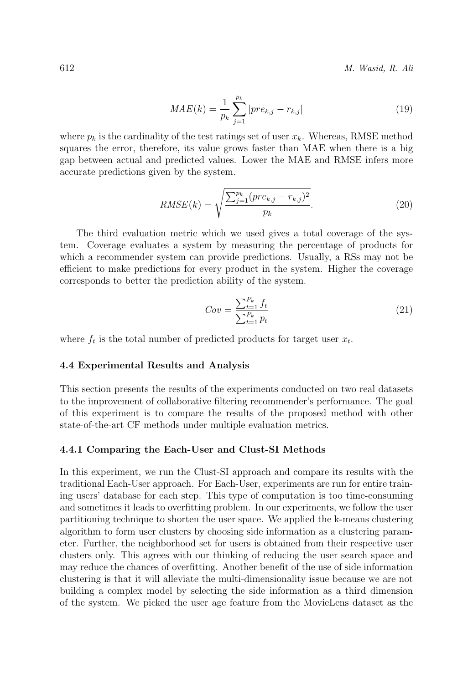612 M. Wasid, R. Ali

$$
MAE(k) = \frac{1}{p_k} \sum_{j=1}^{p_k} |pre_{k,j} - r_{k,j}|
$$
\n(19)

where  $p_k$  is the cardinality of the test ratings set of user  $x_k$ . Whereas, RMSE method squares the error, therefore, its value grows faster than MAE when there is a big gap between actual and predicted values. Lower the MAE and RMSE infers more accurate predictions given by the system.

$$
RMSE(k) = \sqrt{\frac{\sum_{j=1}^{p_k} (pre_{k,j} - r_{k,j})^2}{p_k}}.
$$
\n(20)

The third evaluation metric which we used gives a total coverage of the system. Coverage evaluates a system by measuring the percentage of products for which a recommender system can provide predictions. Usually, a RSs may not be efficient to make predictions for every product in the system. Higher the coverage corresponds to better the prediction ability of the system.

$$
Cov = \frac{\sum_{t=1}^{P_k} f_t}{\sum_{t=1}^{P_k} p_t}
$$
\n(21)

where  $f_t$  is the total number of predicted products for target user  $x_t$ .

#### 4.4 Experimental Results and Analysis

This section presents the results of the experiments conducted on two real datasets to the improvement of collaborative filtering recommender's performance. The goal of this experiment is to compare the results of the proposed method with other state-of-the-art CF methods under multiple evaluation metrics.

#### 4.4.1 Comparing the Each-User and Clust-SI Methods

In this experiment, we run the Clust-SI approach and compare its results with the traditional Each-User approach. For Each-User, experiments are run for entire training users' database for each step. This type of computation is too time-consuming and sometimes it leads to overfitting problem. In our experiments, we follow the user partitioning technique to shorten the user space. We applied the k-means clustering algorithm to form user clusters by choosing side information as a clustering parameter. Further, the neighborhood set for users is obtained from their respective user clusters only. This agrees with our thinking of reducing the user search space and may reduce the chances of overfitting. Another benefit of the use of side information clustering is that it will alleviate the multi-dimensionality issue because we are not building a complex model by selecting the side information as a third dimension of the system. We picked the user age feature from the MovieLens dataset as the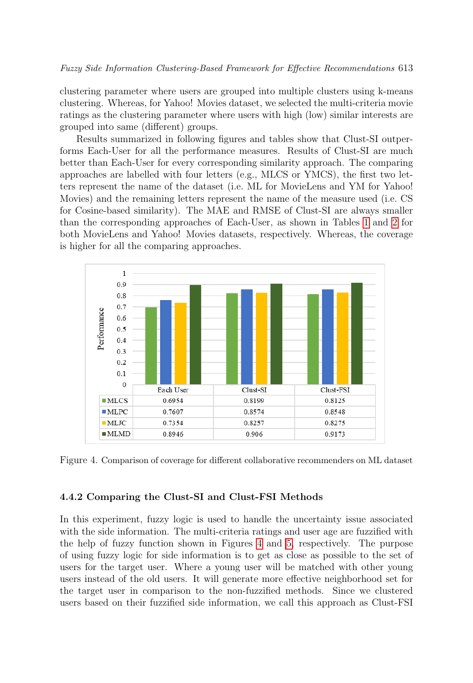clustering parameter where users are grouped into multiple clusters using k-means clustering. Whereas, for Yahoo! Movies dataset, we selected the multi-criteria movie ratings as the clustering parameter where users with high (low) similar interests are grouped into same (different) groups.

Results summarized in following figures and tables show that Clust-SI outperforms Each-User for all the performance measures. Results of Clust-SI are much better than Each-User for every corresponding similarity approach. The comparing approaches are labelled with four letters (e.g., MLCS or YMCS), the first two letters represent the name of the dataset (i.e. ML for MovieLens and YM for Yahoo! Movies) and the remaining letters represent the name of the measure used (i.e. CS for Cosine-based similarity). The MAE and RMSE of Clust-SI are always smaller than the corresponding approaches of Each-User, as shown in Tables [1](#page-17-0) and [2](#page-18-0) for both MovieLens and Yahoo! Movies datasets, respectively. Whereas, the coverage is higher for all the comparing approaches.



<span id="page-16-0"></span>Figure 4. Comparison of coverage for different collaborative recommenders on ML dataset

#### 4.4.2 Comparing the Clust-SI and Clust-FSI Methods

In this experiment, fuzzy logic is used to handle the uncertainty issue associated with the side information. The multi-criteria ratings and user age are fuzzified with the help of fuzzy function shown in Figures [4](#page-16-0) and [5,](#page-17-1) respectively. The purpose of using fuzzy logic for side information is to get as close as possible to the set of users for the target user. Where a young user will be matched with other young users instead of the old users. It will generate more effective neighborhood set for the target user in comparison to the non-fuzzified methods. Since we clustered users based on their fuzzified side information, we call this approach as Clust-FSI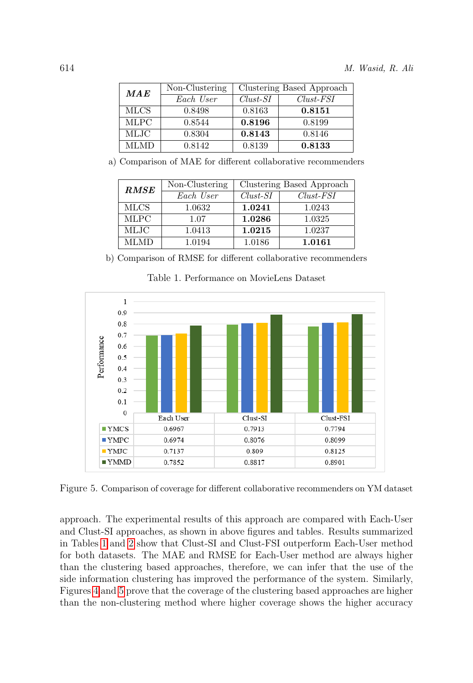| MAE         | Non-Clustering | Clustering Based Approach |             |
|-------------|----------------|---------------------------|-------------|
|             | Each User      | $Clust-SI$                | $Clust-FSI$ |
| <b>MLCS</b> | 0.8498         | 0.8163                    | 0.8151      |
| <b>MLPC</b> | 0.8544         | 0.8196                    | 0.8199      |
| MLJC        | 0.8304         | 0.8143                    | 0.8146      |
| MLMD.       | 0.8142         | 0.8139                    | 0.8133      |

a) Comparison of MAE for different collaborative recommenders

| <b>RMSE</b> | Non-Clustering | Clustering Based Approach |             |
|-------------|----------------|---------------------------|-------------|
|             | Each User      | $Clust-SI$                | $Clust-FSI$ |
| <b>MLCS</b> | 1.0632         | 1.0241                    | 1.0243      |
| <b>MLPC</b> | 1.07           | 1.0286                    | 1.0325      |
| MLJC        | 1.0413         | 1.0215                    | 1.0237      |
| MLMD        | 1.0194         | 1.0186                    | 1.0161      |

b) Comparison of RMSE for different collaborative recommenders

<span id="page-17-0"></span>

<span id="page-17-1"></span>Table 1. Performance on MovieLens Dataset

Figure 5. Comparison of coverage for different collaborative recommenders on YM dataset

approach. The experimental results of this approach are compared with Each-User and Clust-SI approaches, as shown in above figures and tables. Results summarized in Tables [1](#page-17-0) and [2](#page-18-0) show that Clust-SI and Clust-FSI outperform Each-User method for both datasets. The MAE and RMSE for Each-User method are always higher than the clustering based approaches, therefore, we can infer that the use of the side information clustering has improved the performance of the system. Similarly, Figures [4](#page-16-0) and [5](#page-17-1) prove that the coverage of the clustering based approaches are higher than the non-clustering method where higher coverage shows the higher accuracy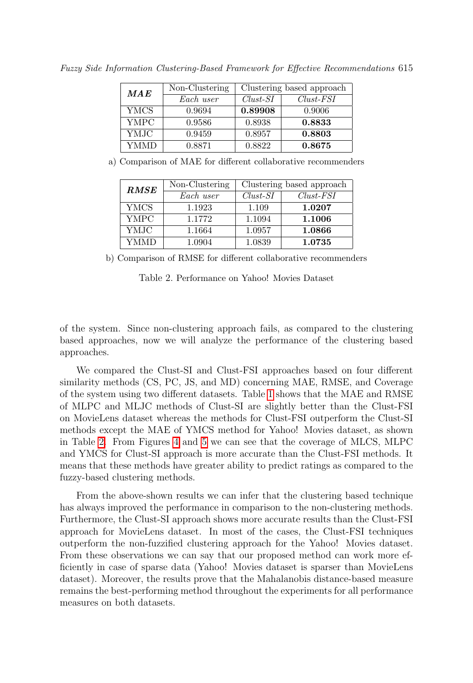| MAE  | Non-Clustering | Clustering based approach |             |
|------|----------------|---------------------------|-------------|
|      | Each user      | $Clust-SI$                | $Clust-FSI$ |
| YMCS | 0.9694         | 0.89908                   | 0.9006      |
| YMPC | 0.9586         | 0.8938                    | 0.8833      |
| YMJC | 0.9459         | 0.8957                    | 0.8803      |
| YMMD | 0.8871         | 0.8822                    | 0.8675      |

Fuzzy Side Information Clustering-Based Framework for Effective Recommendations 615

a) Comparison of MAE for different collaborative recommenders

| RMSE        | Non-Clustering | Clustering based approach |             |
|-------------|----------------|---------------------------|-------------|
|             | Each user      | $Clust-SI$                | $Clust-FSI$ |
| YMCS        | 1.1923         | 1.109                     | 1.0207      |
| <b>YMPC</b> | 1.1772         | 1.1094                    | 1.1006      |
| YMJC        | 1.1664         | 1.0957                    | 1.0866      |
| YMMD        | 1.0904         | 1.0839                    | 1.0735      |

<span id="page-18-0"></span>b) Comparison of RMSE for different collaborative recommenders

Table 2. Performance on Yahoo! Movies Dataset

of the system. Since non-clustering approach fails, as compared to the clustering based approaches, now we will analyze the performance of the clustering based approaches.

We compared the Clust-SI and Clust-FSI approaches based on four different similarity methods (CS, PC, JS, and MD) concerning MAE, RMSE, and Coverage of the system using two different datasets. Table [1](#page-17-0) shows that the MAE and RMSE of MLPC and MLJC methods of Clust-SI are slightly better than the Clust-FSI on MovieLens dataset whereas the methods for Clust-FSI outperform the Clust-SI methods except the MAE of YMCS method for Yahoo! Movies dataset, as shown in Table [2.](#page-18-0) From Figures [4](#page-16-0) and [5](#page-17-1) we can see that the coverage of MLCS, MLPC and YMCS for Clust-SI approach is more accurate than the Clust-FSI methods. It means that these methods have greater ability to predict ratings as compared to the fuzzy-based clustering methods.

From the above-shown results we can infer that the clustering based technique has always improved the performance in comparison to the non-clustering methods. Furthermore, the Clust-SI approach shows more accurate results than the Clust-FSI approach for MovieLens dataset. In most of the cases, the Clust-FSI techniques outperform the non-fuzzified clustering approach for the Yahoo! Movies dataset. From these observations we can say that our proposed method can work more efficiently in case of sparse data (Yahoo! Movies dataset is sparser than MovieLens dataset). Moreover, the results prove that the Mahalanobis distance-based measure remains the best-performing method throughout the experiments for all performance measures on both datasets.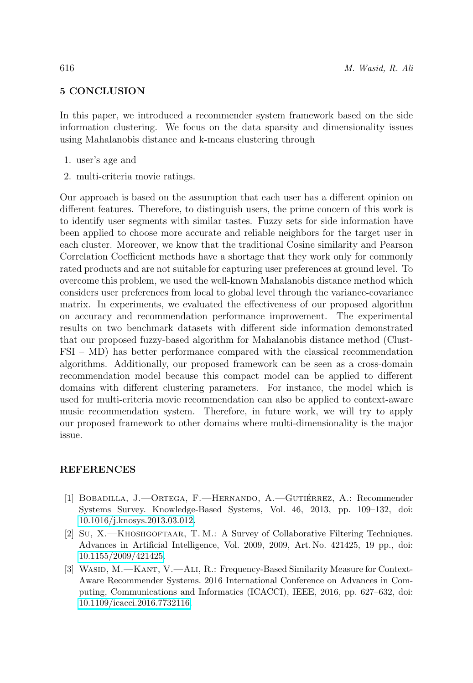# <span id="page-19-4"></span>5 CONCLUSION

In this paper, we introduced a recommender system framework based on the side information clustering. We focus on the data sparsity and dimensionality issues using Mahalanobis distance and k-means clustering through

- 1. user's age and
- <span id="page-19-0"></span>2. multi-criteria movie ratings.

Our approach is based on the assumption that each user has a different opinion on different features. Therefore, to distinguish users, the prime concern of this work is to identify user segments with similar tastes. Fuzzy sets for side information have been applied to choose more accurate and reliable neighbors for the target user in each cluster. Moreover, we know that the traditional Cosine similarity and Pearson Correlation Coefficient methods have a shortage that they work only for commonly rated products and are not suitable for capturing user preferences at ground level. To overcome this problem, we used the well-known Mahalanobis distance method which considers user preferences from local to global level through the variance-covariance matrix. In experiments, we evaluated the effectiveness of our proposed algorithm on accuracy and recommendation performance improvement. The experimental results on two benchmark datasets with different side information demonstrated that our proposed fuzzy-based algorithm for Mahalanobis distance method (Clust-FSI – MD) has better performance compared with the classical recommendation algorithms. Additionally, our proposed framework can be seen as a cross-domain recommendation model because this compact model can be applied to different domains with different clustering parameters. For instance, the model which is used for multi-criteria movie recommendation can also be applied to context-aware music recommendation system. Therefore, in future work, we will try to apply our proposed framework to other domains where multi-dimensionality is the major issue.

# REFERENCES

- <span id="page-19-1"></span>[1] BOBADILLA, J.—ORTEGA, F.—HERNANDO, A.—GUTIÉRREZ, A.: Recommender Systems Survey. Knowledge-Based Systems, Vol. 46, 2013, pp. 109–132, doi: [10.1016/j.knosys.2013.03.012.](https://doi.org/10.1016/j.knosys.2013.03.012)
- <span id="page-19-2"></span>[2] Su, X.-KHOSHGOFTAAR, T. M.: A Survey of Collaborative Filtering Techniques. Advances in Artificial Intelligence, Vol. 2009, 2009, Art. No. 421425, 19 pp., doi: [10.1155/2009/421425.](https://doi.org/10.1155/2009/421425)
- <span id="page-19-3"></span>[3] WASID, M.—KANT, V.—ALI, R.: Frequency-Based Similarity Measure for Context-Aware Recommender Systems. 2016 International Conference on Advances in Computing, Communications and Informatics (ICACCI), IEEE, 2016, pp. 627–632, doi: [10.1109/icacci.2016.7732116.](https://doi.org/10.1109/icacci.2016.7732116)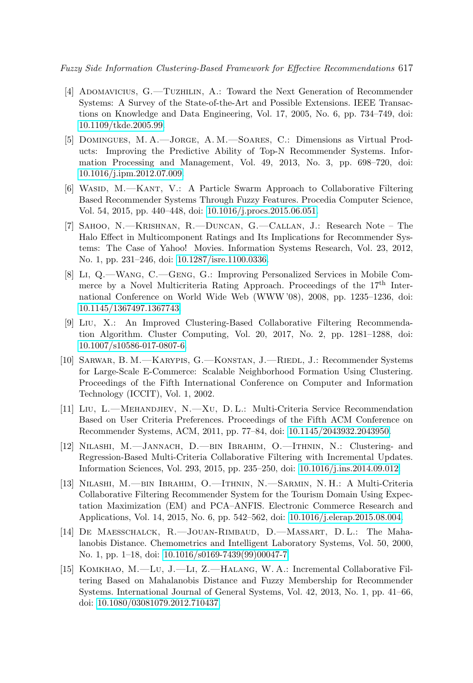Fuzzy Side Information Clustering-Based Framework for Effective Recommendations 617

- <span id="page-20-0"></span>[4] Adomavicius, G.—Tuzhilin, A.: Toward the Next Generation of Recommender Systems: A Survey of the State-of-the-Art and Possible Extensions. IEEE Transactions on Knowledge and Data Engineering, Vol. 17, 2005, No. 6, pp. 734–749, doi: [10.1109/tkde.2005.99.](https://doi.org/10.1109/tkde.2005.99)
- <span id="page-20-1"></span>[5] Domingues, M. A.—Jorge, A. M.—Soares, C.: Dimensions as Virtual Products: Improving the Predictive Ability of Top-N Recommender Systems. Information Processing and Management, Vol. 49, 2013, No. 3, pp. 698–720, doi: [10.1016/j.ipm.2012.07.009.](https://doi.org/10.1016/j.ipm.2012.07.009)
- <span id="page-20-2"></span>[6] WASID, M.—KANT, V.: A Particle Swarm Approach to Collaborative Filtering Based Recommender Systems Through Fuzzy Features. Procedia Computer Science, Vol. 54, 2015, pp. 440–448, doi: [10.1016/j.procs.2015.06.051.](https://doi.org/10.1016/j.procs.2015.06.051)
- <span id="page-20-3"></span>[7] Sahoo, N.—Krishnan, R.—Duncan, G.—Callan, J.: Research Note – The Halo Effect in Multicomponent Ratings and Its Implications for Recommender Systems: The Case of Yahoo! Movies. Information Systems Research, Vol. 23, 2012, No. 1, pp. 231–246, doi: [10.1287/isre.1100.0336.](https://doi.org/10.1287/isre.1100.0336)
- <span id="page-20-4"></span>[8] Li, Q.—Wang, C.—Geng, G.: Improving Personalized Services in Mobile Commerce by a Novel Multicriteria Rating Approach. Proceedings of the 17<sup>th</sup> International Conference on World Wide Web (WWW '08), 2008, pp. 1235–1236, doi: [10.1145/1367497.1367743.](https://doi.org/10.1145/1367497.1367743)
- <span id="page-20-8"></span>[9] Liu, X.: An Improved Clustering-Based Collaborative Filtering Recommendation Algorithm. Cluster Computing, Vol. 20, 2017, No. 2, pp. 1281–1288, doi: [10.1007/s10586-017-0807-6.](https://doi.org/10.1007/s10586-017-0807-6)
- <span id="page-20-5"></span>[10] Sarwar, B. M.—Karypis, G.—Konstan, J.—Riedl, J.: Recommender Systems for Large-Scale E-Commerce: Scalable Neighborhood Formation Using Clustering. Proceedings of the Fifth International Conference on Computer and Information Technology (ICCIT), Vol. 1, 2002.
- <span id="page-20-9"></span>[11] Liu, L.—Mehandjiev, N.—Xu, D. L.: Multi-Criteria Service Recommendation Based on User Criteria Preferences. Proceedings of the Fifth ACM Conference on Recommender Systems, ACM, 2011, pp. 77–84, doi: [10.1145/2043932.2043950.](https://doi.org/10.1145/2043932.2043950)
- <span id="page-20-10"></span>[12] Nilashi, M.—Jannach, D.—bin Ibrahim, O.—Ithnin, N.: Clustering- and Regression-Based Multi-Criteria Collaborative Filtering with Incremental Updates. Information Sciences, Vol. 293, 2015, pp. 235–250, doi: [10.1016/j.ins.2014.09.012.](https://doi.org/10.1016/j.ins.2014.09.012)
- <span id="page-20-11"></span>[13] Nilashi, M.—bin Ibrahim, O.—Ithnin, N.—Sarmin, N. H.: A Multi-Criteria Collaborative Filtering Recommender System for the Tourism Domain Using Expectation Maximization (EM) and PCA–ANFIS. Electronic Commerce Research and Applications, Vol. 14, 2015, No. 6, pp. 542–562, doi: [10.1016/j.elerap.2015.08.004.](https://doi.org/10.1016/j.elerap.2015.08.004)
- <span id="page-20-6"></span>[14] De Maesschalck, R.—Jouan-Rimbaud, D.—Massart, D. L.: The Mahalanobis Distance. Chemometrics and Intelligent Laboratory Systems, Vol. 50, 2000, No. 1, pp. 1–18, doi: [10.1016/s0169-7439\(99\)00047-7.](https://doi.org/10.1016/s0169-7439(99)00047-7)
- <span id="page-20-7"></span>[15] Komkhao, M.—Lu, J.—Li, Z.—Halang, W. A.: Incremental Collaborative Filtering Based on Mahalanobis Distance and Fuzzy Membership for Recommender Systems. International Journal of General Systems, Vol. 42, 2013, No. 1, pp. 41–66, doi: [10.1080/03081079.2012.710437.](https://doi.org/10.1080/03081079.2012.710437)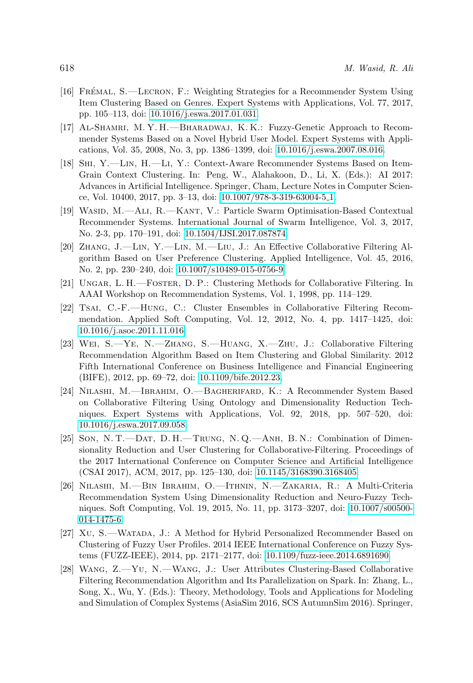- <span id="page-21-9"></span>[16] FRÉMAL, S.—LECRON, F.: Weighting Strategies for a Recommender System Using Item Clustering Based on Genres. Expert Systems with Applications, Vol. 77, 2017, pp. 105–113, doi: [10.1016/j.eswa.2017.01.031.](https://doi.org/10.1016/j.eswa.2017.01.031)
- <span id="page-21-12"></span>[17] Al-Shamri, M. Y. H.—Bharadwaj, K. K.: Fuzzy-Genetic Approach to Recommender Systems Based on a Novel Hybrid User Model. Expert Systems with Applications, Vol. 35, 2008, No. 3, pp. 1386–1399, doi: [10.1016/j.eswa.2007.08.016.](https://doi.org/10.1016/j.eswa.2007.08.016)
- <span id="page-21-10"></span>[18] Shi, Y.—Lin, H.—Li, Y.: Context-Aware Recommender Systems Based on Item-Grain Context Clustering. In: Peng, W., Alahakoon, D., Li, X. (Eds.): AI 2017: Advances in Artificial Intelligence. Springer, Cham, Lecture Notes in Computer Science, Vol. 10400, 2017, pp. 3–13, doi: [10.1007/978-3-319-63004-5](https://doi.org/10.1007/978-3-319-63004-5_1) 1.
- <span id="page-21-0"></span>[19] WASID, M.—ALI, R.—KANT, V.: Particle Swarm Optimisation-Based Contextual Recommender Systems. International Journal of Swarm Intelligence, Vol. 3, 2017, No. 2-3, pp. 170–191, doi: [10.1504/IJSI.2017.087874.](https://doi.org/10.1504/IJSI.2017.087874)
- <span id="page-21-3"></span>[20] Zhang, J.—Lin, Y.—Lin, M.—Liu, J.: An Effective Collaborative Filtering Algorithm Based on User Preference Clustering. Applied Intelligence, Vol. 45, 2016, No. 2, pp. 230–240, doi: [10.1007/s10489-015-0756-9.](https://doi.org/10.1007/s10489-015-0756-9)
- <span id="page-21-1"></span>[21] Ungar, L. H.—Foster, D. P.: Clustering Methods for Collaborative Filtering. In AAAI Workshop on Recommendation Systems, Vol. 1, 1998, pp. 114–129.
- <span id="page-21-2"></span>[22] Tsai, C.-F.—Hung, C.: Cluster Ensembles in Collaborative Filtering Recommendation. Applied Soft Computing, Vol. 12, 2012, No. 4, pp. 1417–1425, doi: [10.1016/j.asoc.2011.11.016.](https://doi.org/10.1016/j.asoc.2011.11.016)
- <span id="page-21-4"></span>[23] Wei, S.—Ye, N.—Zhang, S.—Huang, X.—Zhu, J.: Collaborative Filtering Recommendation Algorithm Based on Item Clustering and Global Similarity. 2012 Fifth International Conference on Business Intelligence and Financial Engineering (BIFE), 2012, pp. 69–72, doi: [10.1109/bife.2012.23.](https://doi.org/10.1109/bife.2012.23)
- <span id="page-21-6"></span>[24] Nilashi, M.—Ibrahim, O.—Bagherifard, K.: A Recommender System Based on Collaborative Filtering Using Ontology and Dimensionality Reduction Techniques. Expert Systems with Applications, Vol. 92, 2018, pp. 507–520, doi: [10.1016/j.eswa.2017.09.058.](https://doi.org/10.1016/j.eswa.2017.09.058)
- <span id="page-21-7"></span>[25] Son, N. T.—Dat, D. H.—Trung, N. Q.—Anh, B. N.: Combination of Dimensionality Reduction and User Clustering for Collaborative-Filtering. Proceedings of the 2017 International Conference on Computer Science and Artificial Intelligence (CSAI 2017), ACM, 2017, pp. 125–130, doi: [10.1145/3168390.3168405.](https://doi.org/10.1145/3168390.3168405)
- <span id="page-21-5"></span>[26] Nilashi, M.—Bin Ibrahim, O.—Ithnin, N.—Zakaria, R.: A Multi-Criteria Recommendation System Using Dimensionality Reduction and Neuro-Fuzzy Techniques. Soft Computing, Vol. 19, 2015, No. 11, pp. 3173–3207, doi: [10.1007/s00500-](https://doi.org/10.1007/s00500-014-1475-6) [014-1475-6.](https://doi.org/10.1007/s00500-014-1475-6)
- <span id="page-21-8"></span>[27] XU, S.—WATADA, J.: A Method for Hybrid Personalized Recommender Based on Clustering of Fuzzy User Profiles. 2014 IEEE International Conference on Fuzzy Systems (FUZZ-IEEE), 2014, pp. 2171–2177, doi: [10.1109/fuzz-ieee.2014.6891690.](https://doi.org/10.1109/fuzz-ieee.2014.6891690)
- <span id="page-21-11"></span>[28] Wang, Z.—Yu, N.—Wang, J.: User Attributes Clustering-Based Collaborative Filtering Recommendation Algorithm and Its Parallelization on Spark. In: Zhang, L., Song, X., Wu, Y. (Eds.): Theory, Methodology, Tools and Applications for Modeling and Simulation of Complex Systems (AsiaSim 2016, SCS AutumnSim 2016). Springer,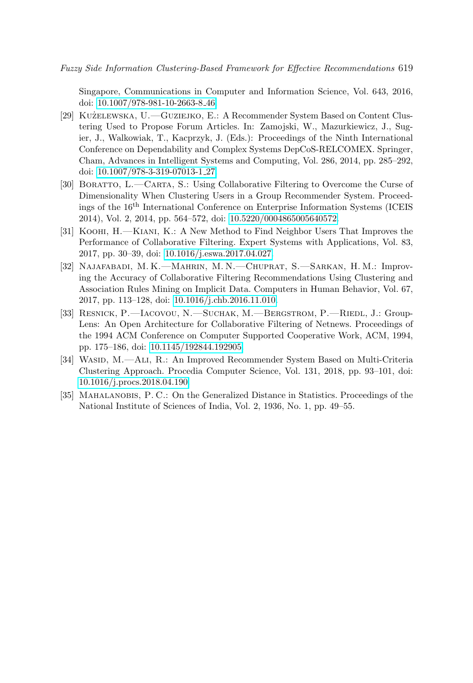Singapore, Communications in Computer and Information Science, Vol. 643, 2016, doi: [10.1007/978-981-10-2663-8](https://doi.org/10.1007/978-981-10-2663-8_46) 46.

- <span id="page-22-5"></span>[29] KUZELEWSKA, U.—GUZIEJKO, E.: A Recommender System Based on Content Clustering Used to Propose Forum Articles. In: Zamojski, W., Mazurkiewicz, J., Sugier, J., Walkowiak, T., Kacprzyk, J. (Eds.): Proceedings of the Ninth International Conference on Dependability and Complex Systems DepCoS-RELCOMEX. Springer, Cham, Advances in Intelligent Systems and Computing, Vol. 286, 2014, pp. 285–292, doi: [10.1007/978-3-319-07013-1](https://doi.org/10.1007/978-3-319-07013-1_27) 27.
- <span id="page-22-3"></span>[30] Boratto, L.—Carta, S.: Using Collaborative Filtering to Overcome the Curse of Dimensionality When Clustering Users in a Group Recommender System. Proceedings of the 16th International Conference on Enterprise Information Systems (ICEIS 2014), Vol. 2, 2014, pp. 564–572, doi: [10.5220/0004865005640572.](https://doi.org/10.5220/0004865005640572)
- <span id="page-22-4"></span>[31] Koohi, H.—Kiani, K.: A New Method to Find Neighbor Users That Improves the Performance of Collaborative Filtering. Expert Systems with Applications, Vol. 83, 2017, pp. 30–39, doi: [10.1016/j.eswa.2017.04.027.](https://doi.org/10.1016/j.eswa.2017.04.027)
- <span id="page-22-2"></span>[32] Najafabadi, M. K.—Mahrin, M. N.—Chuprat, S.—Sarkan, H. M.: Improving the Accuracy of Collaborative Filtering Recommendations Using Clustering and Association Rules Mining on Implicit Data. Computers in Human Behavior, Vol. 67, 2017, pp. 113–128, doi: [10.1016/j.chb.2016.11.010.](https://doi.org/10.1016/j.chb.2016.11.010)
- <span id="page-22-1"></span>[33] RESNICK, P. - LACOVOU, N. - SUCHAK, M. - BERGSTROM, P. - RIEDL, J.: Group-Lens: An Open Architecture for Collaborative Filtering of Netnews. Proceedings of the 1994 ACM Conference on Computer Supported Cooperative Work, ACM, 1994, pp. 175–186, doi: [10.1145/192844.192905.](https://doi.org/10.1145/192844.192905)
- <span id="page-22-6"></span>[34] WASID, M.—ALI, R.: An Improved Recommender System Based on Multi-Criteria Clustering Approach. Procedia Computer Science, Vol. 131, 2018, pp. 93–101, doi: [10.1016/j.procs.2018.04.190.](https://doi.org/10.1016/j.procs.2018.04.190)
- <span id="page-22-0"></span>[35] MAHALANOBIS, P. C.: On the Generalized Distance in Statistics. Proceedings of the National Institute of Sciences of India, Vol. 2, 1936, No. 1, pp. 49–55.